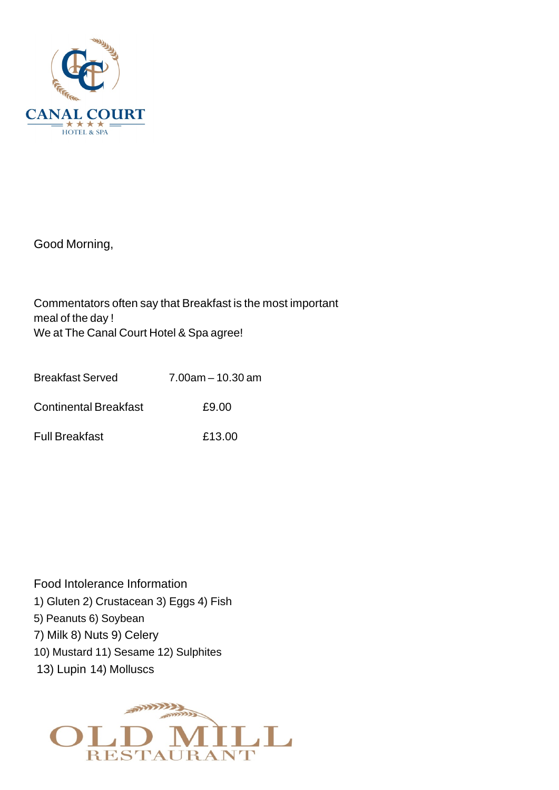

Good Morning,

Commentators often say that Breakfast is the most important meal of the day ! We at The Canal Court Hotel & Spa agree!

| Breakfast Served      | $7.00$ am $-10.30$ am |
|-----------------------|-----------------------|
| Continental Breakfast | £9.00                 |
| Full Breakfast        | £13.00                |

Food Intolerance Information 1) Gluten 2) Crustacean 3) Eggs 4) Fish 5) Peanuts 6) Soybean 7) Milk 8) Nuts 9) Celery 10) Mustard 11) Sesame 12) Sulphites 13) Lupin 14) Molluscs

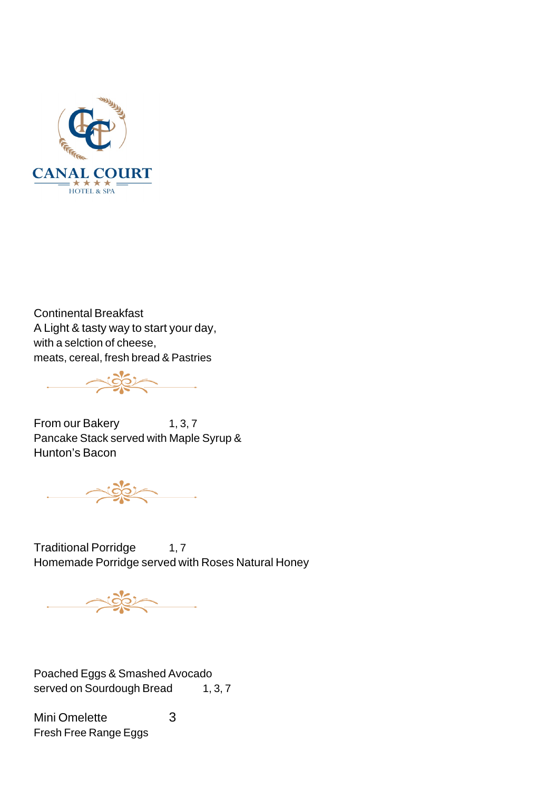

Continental Breakfast A Light & tasty way to start your day, with a selction of cheese, meats, cereal, fresh bread & Pastries

Noter

From our Bakery 1, 3, 7 Pancake Stack served with Maple Syrup & Hunton's Bacon

2000

Traditional Porridge 1,7 Homemade Porridge served with Roses Natural Honey

Poached Eggs & Smashed Avocado served on Sourdough Bread 1, 3, 7

Mini Omelette 3 Fresh Free Range Eggs